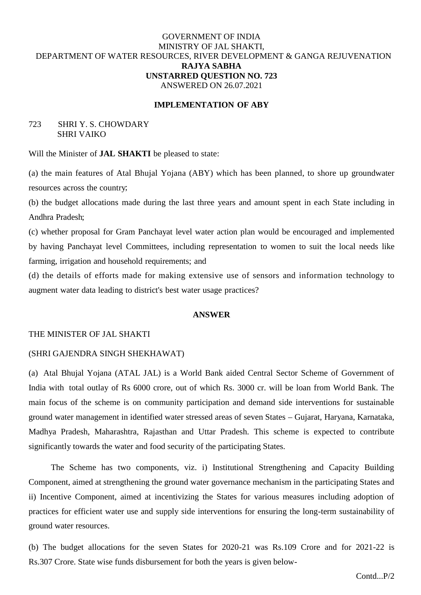# GOVERNMENT OF INDIA MINISTRY OF JAL SHAKTI, DEPARTMENT OF WATER RESOURCES, RIVER DEVELOPMENT & GANGA REJUVENATION **RAJYA SABHA UNSTARRED QUESTION NO. 723** ANSWERED ON 26.07.2021

## **IMPLEMENTATION OF ABY**

## 723 SHRI Y. S. CHOWDARY SHRI VAIKO

Will the Minister of **JAL SHAKTI** be pleased to state:

(a) the main features of Atal Bhujal Yojana (ABY) which has been planned, to shore up groundwater resources across the country

(b) the budget allocations made during the last three years and amount spent in each State including in Andhra Pradesh

(c) whether proposal for Gram Panchayat level water action plan would be encouraged and implemented by having Panchayat level Committees, including representation to women to suit the local needs like farming, irrigation and household requirements and

(d) the details of efforts made for making extensive use of sensors and information technology to augment water data leading to district's best water usage practices?

## **ANSWER**

### THE MINISTER OF JAL SHAKTI

#### (SHRI GAJENDRA SINGH SHEKHAWAT)

(a) Atal Bhujal Yojana (ATAL JAL) is a World Bank aided Central Sector Scheme of Government of India with total outlay of Rs 6000 crore, out of which Rs. 3000 cr. will be loan from World Bank. The main focus of the scheme is on community participation and demand side interventions for sustainable ground water management in identified water stressed areas of seven States – Gujarat, Haryana, Karnataka, Madhya Pradesh, Maharashtra, Rajasthan and Uttar Pradesh. This scheme is expected to contribute significantly towards the water and food security of the participating States.

The Scheme has two components, viz. i) Institutional Strengthening and Capacity Building Component, aimed at strengthening the ground water governance mechanism in the participating States and ii) Incentive Component, aimed at incentivizing the States for various measures including adoption of practices for efficient water use and supply side interventions for ensuring the long-term sustainability of ground water resources.

(b) The budget allocations for the seven States for 2020-21 was Rs.109 Crore and for 2021-22 is Rs.307 Crore. State wise funds disbursement for both the years is given below-